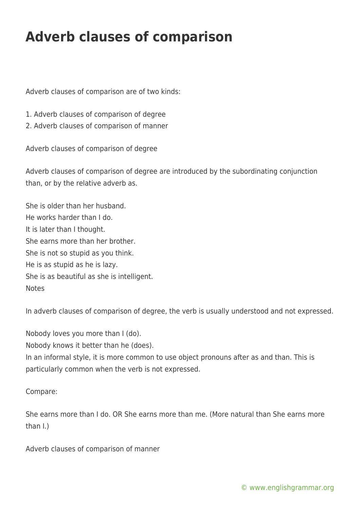## **Adverb clauses of comparison**

Adverb clauses of comparison are of two kinds:

- 1. Adverb clauses of comparison of degree
- 2. Adverb clauses of comparison of manner

Adverb clauses of comparison of degree

Adverb clauses of comparison of degree are introduced by the subordinating conjunction than, or by the relative adverb as.

She is older than her husband. He works harder than I do. It is later than I thought. She earns more than her brother. She is not so stupid as you think. He is as stupid as he is lazy. She is as beautiful as she is intelligent. **Notes** 

In adverb clauses of comparison of degree, the verb is usually understood and not expressed.

Nobody loves you more than I (do).

Nobody knows it better than he (does).

In an informal style, it is more common to use object pronouns after as and than. This is particularly common when the verb is not expressed.

Compare:

She earns more than I do. OR She earns more than me. (More natural than She earns more than I.)

Adverb clauses of comparison of manner